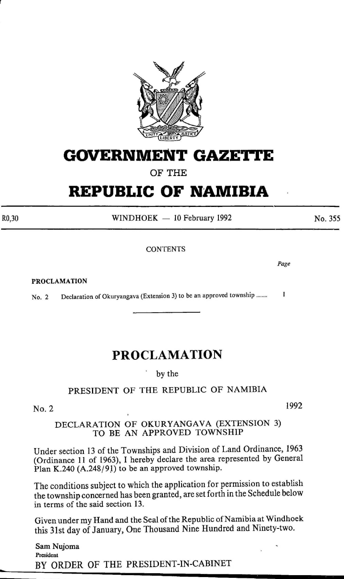

# **GOVERNMENT GAZETrE**

OF THE

# **REPUBLIC OF NAMIBIA**

 $WINDHOEK - 10$  February 1992

**CONTENTS** 

PROCLAMATION

R0,30

No. 2 Declaration of Okuryangava (Extension 3) to be an approved township ........  $\mathbf{I}$ 

### **PROCLAMATION**

by the

PRESIDENT OF THE REPUBLIC OF NAMIBIA

No.2

### DECLARATION OF OKURYANGAVA (EXTENSION 3) TO BE AN APPROVED TOWNSHIP

Under section 13 of the Townships and Division of Land Ordinance, 1963 (Ordinance 11 of 1963), I hereby declare the area represented by General Plan K.240 (A.248/91) to be an approved township.

The conditions subject to which the application for permission to establish the township concerned has been granted, are set forth in the Schedule below in terms of the said section 13.

Given under my Hand and the Seal of the Republic of Namibia at Windhoek this 31st day of January, One Thousand Nine Hundred and Ninety-two.

Sam Nujoma President BY ORDER OF THE PRESIDENT-IN-CABINET 1992

No. 355

*Page*